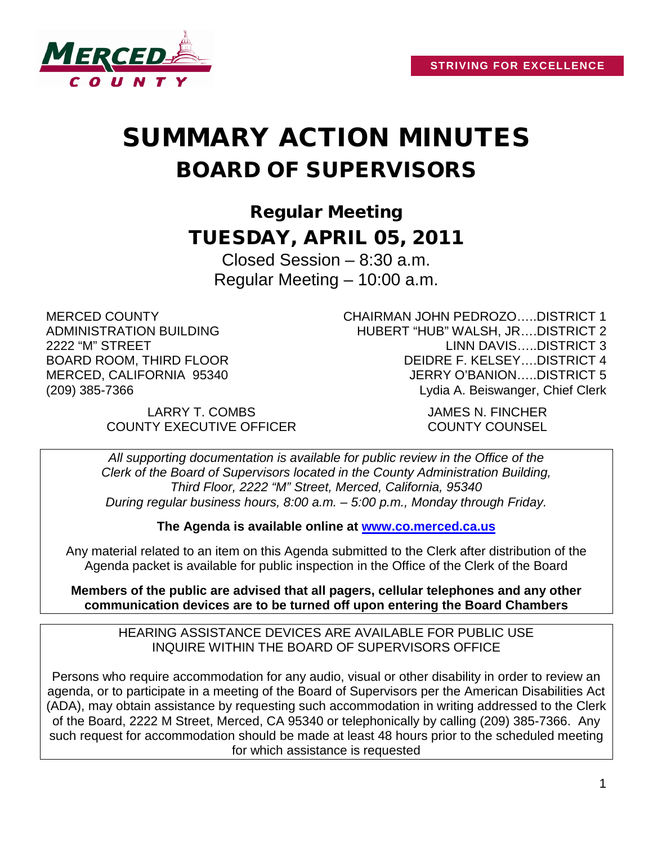

# SUMMARY ACTION MINUTES BOARD OF SUPERVISORS

Regular Meeting TUESDAY, APRIL 05, 2011

Closed Session – 8:30 a.m. Regular Meeting – 10:00 a.m.

MERCED COUNTY ADMINISTRATION BUILDING 2222 "M" STREET BOARD ROOM, THIRD FLOOR MERCED, CALIFORNIA 95340 (209) 385-7366

CHAIRMAN JOHN PEDROZO…..DISTRICT 1 HUBERT "HUB" WALSH, JR….DISTRICT 2 LINN DAVIS…..DISTRICT 3 DEIDRE F. KELSEY….DISTRICT 4 JERRY O'BANION…..DISTRICT 5 Lydia A. Beiswanger, Chief Clerk

LARRY T. COMBS JAMES N. FINCHER COUNTY EXECUTIVE OFFICER COUNTY COUNSEL

*All supporting documentation is available for public review in the Office of the Clerk of the Board of Supervisors located in the County Administration Building, Third Floor, 2222 "M" Street, Merced, California, 95340 During regular business hours, 8:00 a.m. – 5:00 p.m., Monday through Friday.*

**The Agenda is available online at [www.co.merced.ca.us](http://www.co.merced.ca.us/)**

Any material related to an item on this Agenda submitted to the Clerk after distribution of the Agenda packet is available for public inspection in the Office of the Clerk of the Board

**Members of the public are advised that all pagers, cellular telephones and any other communication devices are to be turned off upon entering the Board Chambers**

HEARING ASSISTANCE DEVICES ARE AVAILABLE FOR PUBLIC USE INQUIRE WITHIN THE BOARD OF SUPERVISORS OFFICE

Persons who require accommodation for any audio, visual or other disability in order to review an agenda, or to participate in a meeting of the Board of Supervisors per the American Disabilities Act (ADA), may obtain assistance by requesting such accommodation in writing addressed to the Clerk of the Board, 2222 M Street, Merced, CA 95340 or telephonically by calling (209) 385-7366. Any such request for accommodation should be made at least 48 hours prior to the scheduled meeting for which assistance is requested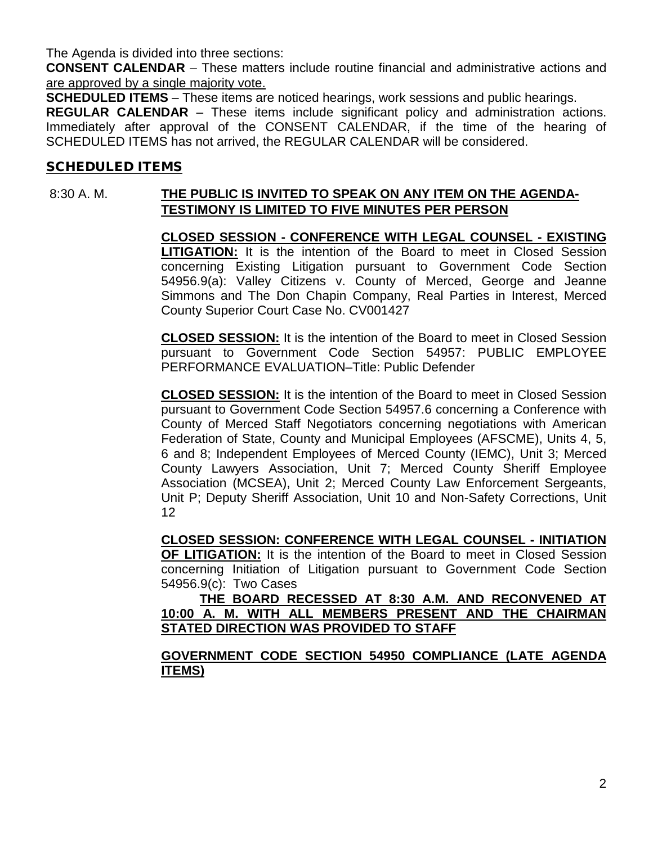The Agenda is divided into three sections:

**CONSENT CALENDAR** – These matters include routine financial and administrative actions and are approved by a single majority vote.

**SCHEDULED ITEMS** – These items are noticed hearings, work sessions and public hearings.

**REGULAR CALENDAR** – These items include significant policy and administration actions. Immediately after approval of the CONSENT CALENDAR, if the time of the hearing of SCHEDULED ITEMS has not arrived, the REGULAR CALENDAR will be considered.

#### SCHEDULED ITEMS

# 8:30 A. M. **THE PUBLIC IS INVITED TO SPEAK ON ANY ITEM ON THE AGENDA-TESTIMONY IS LIMITED TO FIVE MINUTES PER PERSON**

**CLOSED SESSION - CONFERENCE WITH LEGAL COUNSEL - EXISTING LITIGATION:** It is the intention of the Board to meet in Closed Session concerning Existing Litigation pursuant to Government Code Section 54956.9(a): Valley Citizens v. County of Merced, George and Jeanne Simmons and The Don Chapin Company, Real Parties in Interest, Merced County Superior Court Case No. CV001427

**CLOSED SESSION:** It is the intention of the Board to meet in Closed Session pursuant to Government Code Section 54957: PUBLIC EMPLOYEE PERFORMANCE EVALUATION–Title: Public Defender

**CLOSED SESSION:** It is the intention of the Board to meet in Closed Session pursuant to Government Code Section 54957.6 concerning a Conference with County of Merced Staff Negotiators concerning negotiations with American Federation of State, County and Municipal Employees (AFSCME), Units 4, 5, 6 and 8; Independent Employees of Merced County (IEMC), Unit 3; Merced County Lawyers Association, Unit 7; Merced County Sheriff Employee Association (MCSEA), Unit 2; Merced County Law Enforcement Sergeants, Unit P; Deputy Sheriff Association, Unit 10 and Non-Safety Corrections, Unit 12

**CLOSED SESSION: CONFERENCE WITH LEGAL COUNSEL - INITIATION OF LITIGATION:** It is the intention of the Board to meet in Closed Session concerning Initiation of Litigation pursuant to Government Code Section 54956.9(c): Two Cases

**THE BOARD RECESSED AT 8:30 A.M. AND RECONVENED AT 10:00 A. M. WITH ALL MEMBERS PRESENT AND THE CHAIRMAN STATED DIRECTION WAS PROVIDED TO STAFF**

#### **GOVERNMENT CODE SECTION 54950 COMPLIANCE (LATE AGENDA ITEMS)**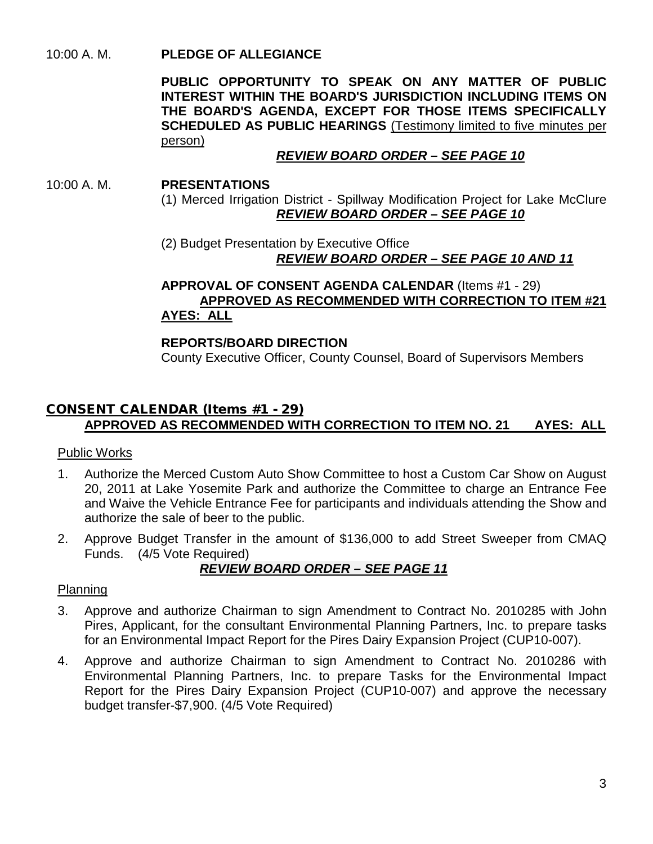# 10:00 A. M. **PLEDGE OF ALLEGIANCE**

**PUBLIC OPPORTUNITY TO SPEAK ON ANY MATTER OF PUBLIC INTEREST WITHIN THE BOARD'S JURISDICTION INCLUDING ITEMS ON THE BOARD'S AGENDA, EXCEPT FOR THOSE ITEMS SPECIFICALLY SCHEDULED AS PUBLIC HEARINGS** (Testimony limited to five minutes per person)

# *REVIEW BOARD ORDER – SEE PAGE 10*

#### 10:00 A. M. **PRESENTATIONS**

(1) Merced Irrigation District - Spillway Modification Project for Lake McClure *REVIEW BOARD ORDER – SEE PAGE 10*

(2) Budget Presentation by Executive Office *REVIEW BOARD ORDER – SEE PAGE 10 AND 11*

# **APPROVAL OF CONSENT AGENDA CALENDAR** (Items #1 - 29) **APPROVED AS RECOMMENDED WITH CORRECTION TO ITEM #21 AYES: ALL**

# **REPORTS/BOARD DIRECTION**

County Executive Officer, County Counsel, Board of Supervisors Members

# CONSENT CALENDAR (Items #1 - 29) **APPROVED AS RECOMMENDED WITH CORRECTION TO ITEM NO. 21 AYES: ALL**

# Public Works

- 1. Authorize the Merced Custom Auto Show Committee to host a Custom Car Show on August 20, 2011 at Lake Yosemite Park and authorize the Committee to charge an Entrance Fee and Waive the Vehicle Entrance Fee for participants and individuals attending the Show and authorize the sale of beer to the public.
- 2. Approve Budget Transfer in the amount of \$136,000 to add Street Sweeper from CMAQ Funds. (4/5 Vote Required)

# *REVIEW BOARD ORDER – SEE PAGE 11*

#### Planning

- 3. Approve and authorize Chairman to sign Amendment to Contract No. 2010285 with John Pires, Applicant, for the consultant Environmental Planning Partners, Inc. to prepare tasks for an Environmental Impact Report for the Pires Dairy Expansion Project (CUP10-007).
- 4. Approve and authorize Chairman to sign Amendment to Contract No. 2010286 with Environmental Planning Partners, Inc. to prepare Tasks for the Environmental Impact Report for the Pires Dairy Expansion Project (CUP10-007) and approve the necessary budget transfer-\$7,900. (4/5 Vote Required)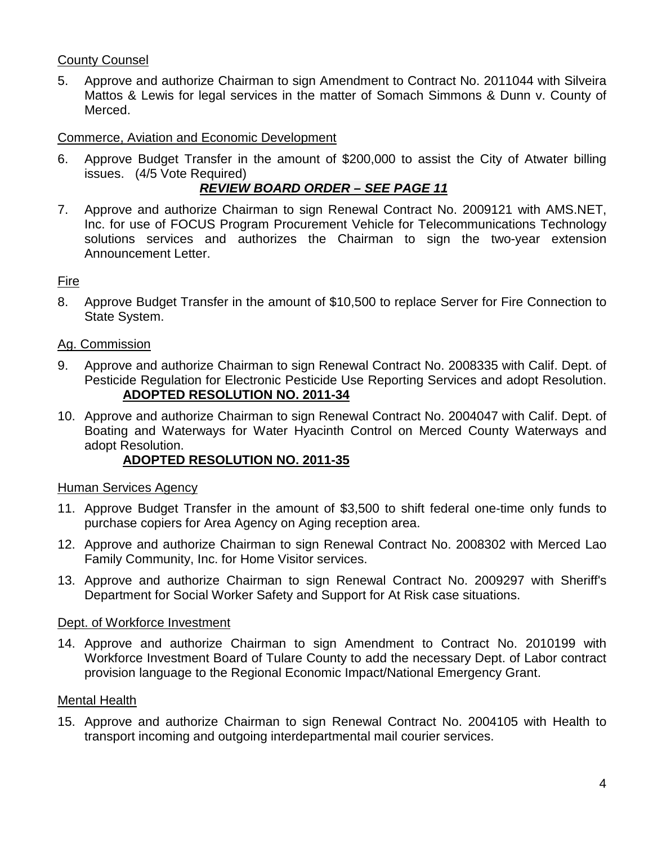# County Counsel

5. Approve and authorize Chairman to sign Amendment to Contract No. 2011044 with Silveira Mattos & Lewis for legal services in the matter of Somach Simmons & Dunn v. County of Merced.

#### Commerce, Aviation and Economic Development

6. Approve Budget Transfer in the amount of \$200,000 to assist the City of Atwater billing issues. (4/5 Vote Required)

# *REVIEW BOARD ORDER – SEE PAGE 11*

7. Approve and authorize Chairman to sign Renewal Contract No. 2009121 with AMS.NET, Inc. for use of FOCUS Program Procurement Vehicle for Telecommunications Technology solutions services and authorizes the Chairman to sign the two-year extension Announcement Letter.

#### Fire

8. Approve Budget Transfer in the amount of \$10,500 to replace Server for Fire Connection to State System.

#### Ag. Commission

- 9. Approve and authorize Chairman to sign Renewal Contract No. 2008335 with Calif. Dept. of Pesticide Regulation for Electronic Pesticide Use Reporting Services and adopt Resolution. **ADOPTED RESOLUTION NO. 2011-34**
- 10. Approve and authorize Chairman to sign Renewal Contract No. 2004047 with Calif. Dept. of Boating and Waterways for Water Hyacinth Control on Merced County Waterways and adopt Resolution.

#### **ADOPTED RESOLUTION NO. 2011-35**

#### Human Services Agency

- 11. Approve Budget Transfer in the amount of \$3,500 to shift federal one-time only funds to purchase copiers for Area Agency on Aging reception area.
- 12. Approve and authorize Chairman to sign Renewal Contract No. 2008302 with Merced Lao Family Community, Inc. for Home Visitor services.
- 13. Approve and authorize Chairman to sign Renewal Contract No. 2009297 with Sheriff's Department for Social Worker Safety and Support for At Risk case situations.

#### Dept. of Workforce Investment

14. Approve and authorize Chairman to sign Amendment to Contract No. 2010199 with Workforce Investment Board of Tulare County to add the necessary Dept. of Labor contract provision language to the Regional Economic Impact/National Emergency Grant.

#### Mental Health

15. Approve and authorize Chairman to sign Renewal Contract No. 2004105 with Health to transport incoming and outgoing interdepartmental mail courier services.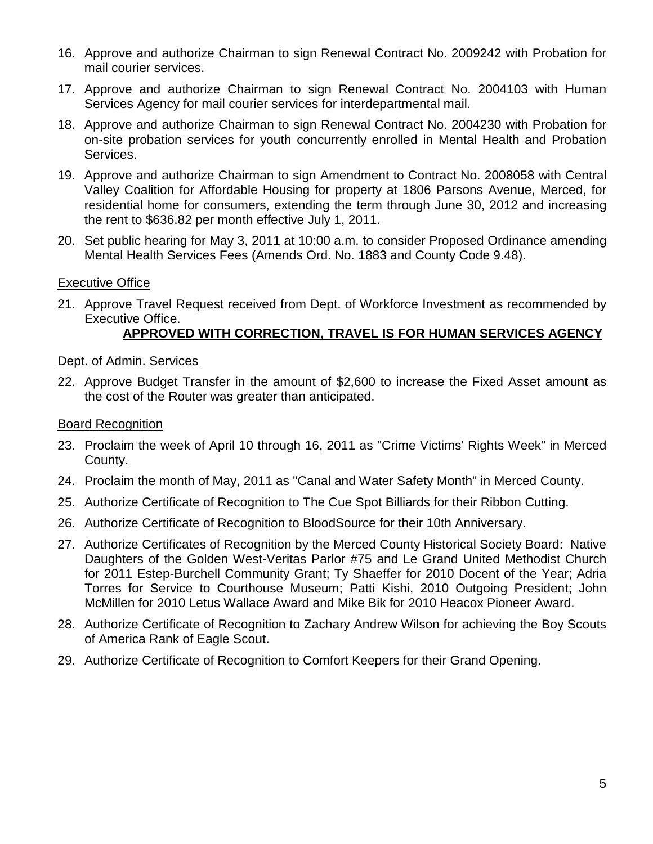- 16. Approve and authorize Chairman to sign Renewal Contract No. 2009242 with Probation for mail courier services.
- 17. Approve and authorize Chairman to sign Renewal Contract No. 2004103 with Human Services Agency for mail courier services for interdepartmental mail.
- 18. Approve and authorize Chairman to sign Renewal Contract No. 2004230 with Probation for on-site probation services for youth concurrently enrolled in Mental Health and Probation Services.
- 19. Approve and authorize Chairman to sign Amendment to Contract No. 2008058 with Central Valley Coalition for Affordable Housing for property at 1806 Parsons Avenue, Merced, for residential home for consumers, extending the term through June 30, 2012 and increasing the rent to \$636.82 per month effective July 1, 2011.
- 20. Set public hearing for May 3, 2011 at 10:00 a.m. to consider Proposed Ordinance amending Mental Health Services Fees (Amends Ord. No. 1883 and County Code 9.48).

#### Executive Office

21. Approve Travel Request received from Dept. of Workforce Investment as recommended by Executive Office.

# **APPROVED WITH CORRECTION, TRAVEL IS FOR HUMAN SERVICES AGENCY**

#### Dept. of Admin. Services

22. Approve Budget Transfer in the amount of \$2,600 to increase the Fixed Asset amount as the cost of the Router was greater than anticipated.

#### Board Recognition

- 23. Proclaim the week of April 10 through 16, 2011 as "Crime Victims' Rights Week" in Merced County.
- 24. Proclaim the month of May, 2011 as "Canal and Water Safety Month" in Merced County.
- 25. Authorize Certificate of Recognition to The Cue Spot Billiards for their Ribbon Cutting.
- 26. Authorize Certificate of Recognition to BloodSource for their 10th Anniversary.
- 27. Authorize Certificates of Recognition by the Merced County Historical Society Board: Native Daughters of the Golden West-Veritas Parlor #75 and Le Grand United Methodist Church for 2011 Estep-Burchell Community Grant; Ty Shaeffer for 2010 Docent of the Year; Adria Torres for Service to Courthouse Museum; Patti Kishi, 2010 Outgoing President; John McMillen for 2010 Letus Wallace Award and Mike Bik for 2010 Heacox Pioneer Award.
- 28. Authorize Certificate of Recognition to Zachary Andrew Wilson for achieving the Boy Scouts of America Rank of Eagle Scout.
- 29. Authorize Certificate of Recognition to Comfort Keepers for their Grand Opening.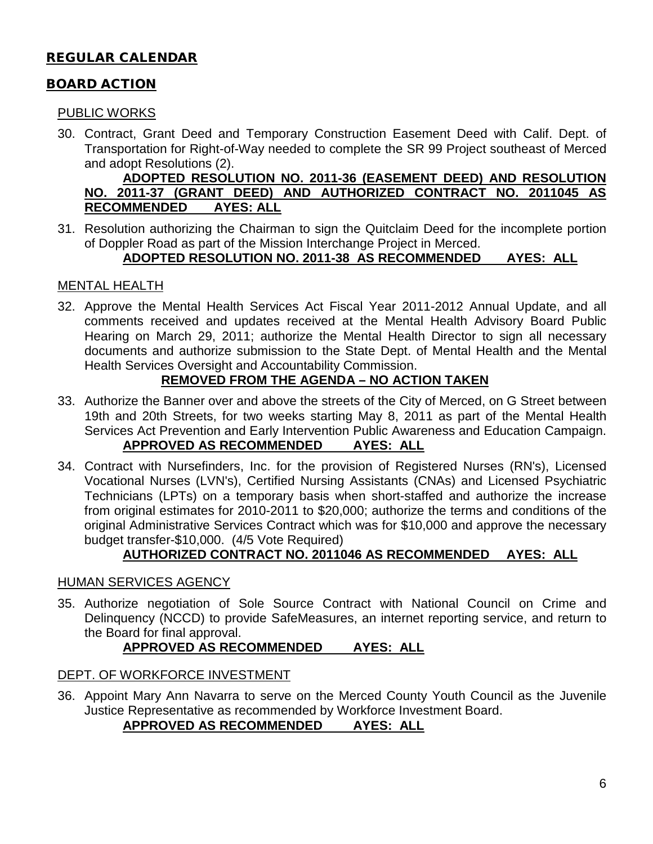# REGULAR CALENDAR

# BOARD ACTION

#### PUBLIC WORKS

30. Contract, Grant Deed and Temporary Construction Easement Deed with Calif. Dept. of Transportation for Right-of-Way needed to complete the SR 99 Project southeast of Merced and adopt Resolutions (2).

#### **ADOPTED RESOLUTION NO. 2011-36 (EASEMENT DEED) AND RESOLUTION NO. 2011-37 (GRANT DEED) AND AUTHORIZED CONTRACT NO. 2011045 AS RECOMMENDED**

31. Resolution authorizing the Chairman to sign the Quitclaim Deed for the incomplete portion of Doppler Road as part of the Mission Interchange Project in Merced.

#### **ADOPTED RESOLUTION NO. 2011-38 AS RECOMMENDED AYES: ALL**

# MENTAL HEALTH

32. Approve the Mental Health Services Act Fiscal Year 2011-2012 Annual Update, and all comments received and updates received at the Mental Health Advisory Board Public Hearing on March 29, 2011; authorize the Mental Health Director to sign all necessary documents and authorize submission to the State Dept. of Mental Health and the Mental Health Services Oversight and Accountability Commission.

# **REMOVED FROM THE AGENDA – NO ACTION TAKEN**

- 33. Authorize the Banner over and above the streets of the City of Merced, on G Street between 19th and 20th Streets, for two weeks starting May 8, 2011 as part of the Mental Health Services Act Prevention and Early Intervention Public Awareness and Education Campaign. **APPROVED AS RECOMMENDED AYES: ALL**
- 34. Contract with Nursefinders, Inc. for the provision of Registered Nurses (RN's), Licensed Vocational Nurses (LVN's), Certified Nursing Assistants (CNAs) and Licensed Psychiatric Technicians (LPTs) on a temporary basis when short-staffed and authorize the increase from original estimates for 2010-2011 to \$20,000; authorize the terms and conditions of the original Administrative Services Contract which was for \$10,000 and approve the necessary budget transfer-\$10,000. (4/5 Vote Required)

# **AUTHORIZED CONTRACT NO. 2011046 AS RECOMMENDED AYES: ALL**

#### HUMAN SERVICES AGENCY

35. Authorize negotiation of Sole Source Contract with National Council on Crime and Delinquency (NCCD) to provide SafeMeasures, an internet reporting service, and return to the Board for final approval.

#### **APPROVED AS RECOMMENDED AYES: ALL**

#### DEPT. OF WORKFORCE INVESTMENT

36. Appoint Mary Ann Navarra to serve on the Merced County Youth Council as the Juvenile Justice Representative as recommended by Workforce Investment Board.

# **APPROVED AS RECOMMENDED AYES: ALL**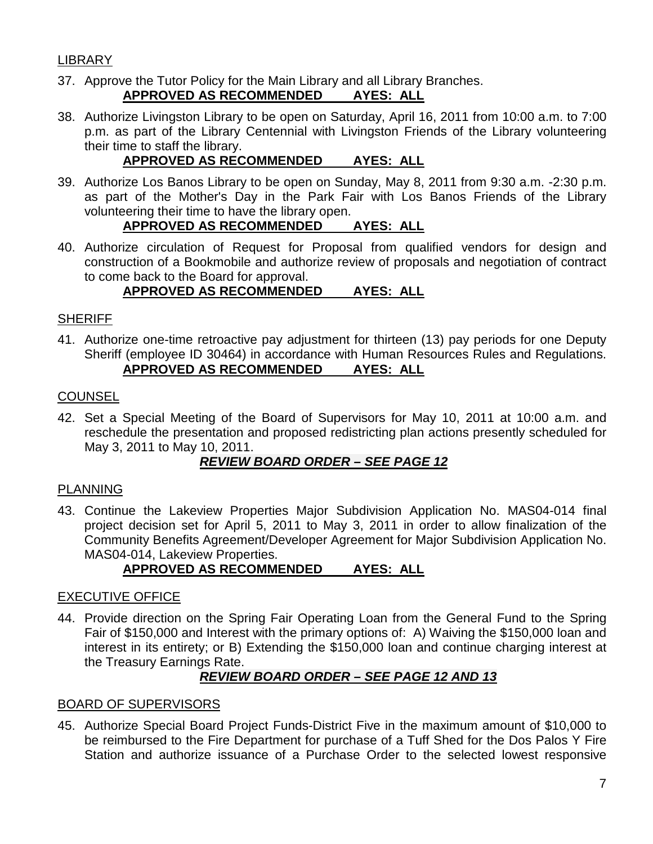# LIBRARY

37. Approve the Tutor Policy for the Main Library and all Library Branches.

#### **APPROVED AS RECOMMENDED AYES: ALL**

38. Authorize Livingston Library to be open on Saturday, April 16, 2011 from 10:00 a.m. to 7:00 p.m. as part of the Library Centennial with Livingston Friends of the Library volunteering their time to staff the library.

# **APPROVED AS RECOMMENDED AYES: ALL**

39. Authorize Los Banos Library to be open on Sunday, May 8, 2011 from 9:30 a.m. -2:30 p.m. as part of the Mother's Day in the Park Fair with Los Banos Friends of the Library volunteering their time to have the library open.

# **APPROVED AS RECOMMENDED AYES: ALL**

40. Authorize circulation of Request for Proposal from qualified vendors for design and construction of a Bookmobile and authorize review of proposals and negotiation of contract to come back to the Board for approval.

# **APPROVED AS RECOMMENDED AYES: ALL**

#### **SHERIFF**

41. Authorize one-time retroactive pay adjustment for thirteen (13) pay periods for one Deputy Sheriff (employee ID 30464) in accordance with Human Resources Rules and Regulations. **APPROVED AS RECOMMENDED AYES: ALL**

#### **COUNSEL**

42. Set a Special Meeting of the Board of Supervisors for May 10, 2011 at 10:00 a.m. and reschedule the presentation and proposed redistricting plan actions presently scheduled for May 3, 2011 to May 10, 2011.

# *REVIEW BOARD ORDER – SEE PAGE 12*

#### PLANNING

43. Continue the Lakeview Properties Major Subdivision Application No. MAS04-014 final project decision set for April 5, 2011 to May 3, 2011 in order to allow finalization of the Community Benefits Agreement/Developer Agreement for Major Subdivision Application No. MAS04-014, Lakeview Properties.

# **APPROVED AS RECOMMENDED AYES: ALL**

#### EXECUTIVE OFFICE

44. Provide direction on the Spring Fair Operating Loan from the General Fund to the Spring Fair of \$150,000 and Interest with the primary options of: A) Waiving the \$150,000 loan and interest in its entirety; or B) Extending the \$150,000 loan and continue charging interest at the Treasury Earnings Rate.

# *REVIEW BOARD ORDER – SEE PAGE 12 AND 13*

#### BOARD OF SUPERVISORS

45. Authorize Special Board Project Funds-District Five in the maximum amount of \$10,000 to be reimbursed to the Fire Department for purchase of a Tuff Shed for the Dos Palos Y Fire Station and authorize issuance of a Purchase Order to the selected lowest responsive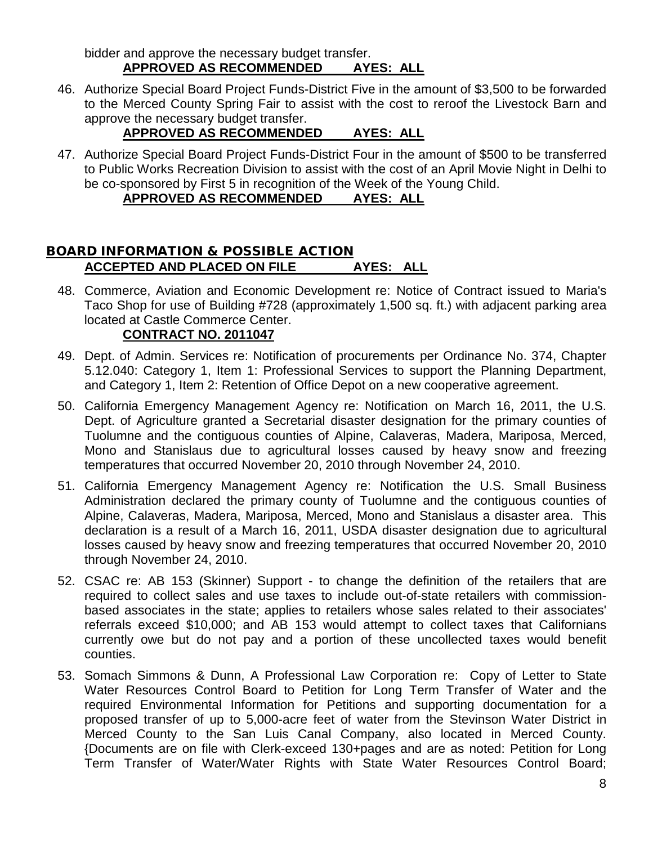bidder and approve the necessary budget transfer. **APPROVED AS RECOMMENDED AYES: ALL**

46. Authorize Special Board Project Funds-District Five in the amount of \$3,500 to be forwarded to the Merced County Spring Fair to assist with the cost to reroof the Livestock Barn and approve the necessary budget transfer.

# **APPROVED AS RECOMMENDED AYES: ALL**

47. Authorize Special Board Project Funds-District Four in the amount of \$500 to be transferred to Public Works Recreation Division to assist with the cost of an April Movie Night in Delhi to be co-sponsored by First 5 in recognition of the Week of the Young Child.

# **APPROVED AS RECOMMENDED AYES: ALL**

# BOARD INFORMATION & POSSIBLE ACTION **ACCEPTED AND PLACED ON FILE AYES: ALL**

48. Commerce, Aviation and Economic Development re: Notice of Contract issued to Maria's Taco Shop for use of Building #728 (approximately 1,500 sq. ft.) with adjacent parking area located at Castle Commerce Center.

# **CONTRACT NO. 2011047**

- 49. Dept. of Admin. Services re: Notification of procurements per Ordinance No. 374, Chapter 5.12.040: Category 1, Item 1: Professional Services to support the Planning Department, and Category 1, Item 2: Retention of Office Depot on a new cooperative agreement.
- 50. California Emergency Management Agency re: Notification on March 16, 2011, the U.S. Dept. of Agriculture granted a Secretarial disaster designation for the primary counties of Tuolumne and the contiguous counties of Alpine, Calaveras, Madera, Mariposa, Merced, Mono and Stanislaus due to agricultural losses caused by heavy snow and freezing temperatures that occurred November 20, 2010 through November 24, 2010.
- 51. California Emergency Management Agency re: Notification the U.S. Small Business Administration declared the primary county of Tuolumne and the contiguous counties of Alpine, Calaveras, Madera, Mariposa, Merced, Mono and Stanislaus a disaster area. This declaration is a result of a March 16, 2011, USDA disaster designation due to agricultural losses caused by heavy snow and freezing temperatures that occurred November 20, 2010 through November 24, 2010.
- 52. CSAC re: AB 153 (Skinner) Support to change the definition of the retailers that are required to collect sales and use taxes to include out-of-state retailers with commissionbased associates in the state; applies to retailers whose sales related to their associates' referrals exceed \$10,000; and AB 153 would attempt to collect taxes that Californians currently owe but do not pay and a portion of these uncollected taxes would benefit counties.
- 53. Somach Simmons & Dunn, A Professional Law Corporation re: Copy of Letter to State Water Resources Control Board to Petition for Long Term Transfer of Water and the required Environmental Information for Petitions and supporting documentation for a proposed transfer of up to 5,000-acre feet of water from the Stevinson Water District in Merced County to the San Luis Canal Company, also located in Merced County. {Documents are on file with Clerk-exceed 130+pages and are as noted: Petition for Long Term Transfer of Water/Water Rights with State Water Resources Control Board;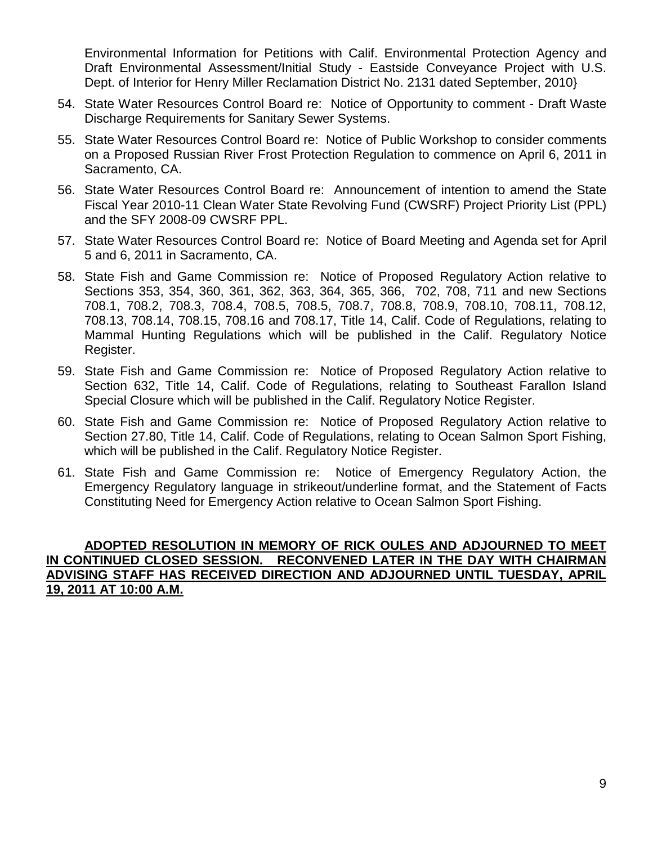Environmental Information for Petitions with Calif. Environmental Protection Agency and Draft Environmental Assessment/Initial Study - Eastside Conveyance Project with U.S. Dept. of Interior for Henry Miller Reclamation District No. 2131 dated September, 2010}

- 54. State Water Resources Control Board re: Notice of Opportunity to comment Draft Waste Discharge Requirements for Sanitary Sewer Systems.
- 55. State Water Resources Control Board re: Notice of Public Workshop to consider comments on a Proposed Russian River Frost Protection Regulation to commence on April 6, 2011 in Sacramento, CA.
- 56. State Water Resources Control Board re: Announcement of intention to amend the State Fiscal Year 2010-11 Clean Water State Revolving Fund (CWSRF) Project Priority List (PPL) and the SFY 2008-09 CWSRF PPL.
- 57. State Water Resources Control Board re: Notice of Board Meeting and Agenda set for April 5 and 6, 2011 in Sacramento, CA.
- 58. State Fish and Game Commission re: Notice of Proposed Regulatory Action relative to Sections 353, 354, 360, 361, 362, 363, 364, 365, 366, 702, 708, 711 and new Sections 708.1, 708.2, 708.3, 708.4, 708.5, 708.5, 708.7, 708.8, 708.9, 708.10, 708.11, 708.12, 708.13, 708.14, 708.15, 708.16 and 708.17, Title 14, Calif. Code of Regulations, relating to Mammal Hunting Regulations which will be published in the Calif. Regulatory Notice Register.
- 59. State Fish and Game Commission re: Notice of Proposed Regulatory Action relative to Section 632, Title 14, Calif. Code of Regulations, relating to Southeast Farallon Island Special Closure which will be published in the Calif. Regulatory Notice Register.
- 60. State Fish and Game Commission re: Notice of Proposed Regulatory Action relative to Section 27.80, Title 14, Calif. Code of Regulations, relating to Ocean Salmon Sport Fishing, which will be published in the Calif. Regulatory Notice Register.
- 61. State Fish and Game Commission re: Notice of Emergency Regulatory Action, the Emergency Regulatory language in strikeout/underline format, and the Statement of Facts Constituting Need for Emergency Action relative to Ocean Salmon Sport Fishing.

#### **ADOPTED RESOLUTION IN MEMORY OF RICK OULES AND ADJOURNED TO MEET IN CONTINUED CLOSED SESSION. RECONVENED LATER IN THE DAY WITH CHAIRMAN ADVISING STAFF HAS RECEIVED DIRECTION AND ADJOURNED UNTIL TUESDAY, APRIL 19, 2011 AT 10:00 A.M.**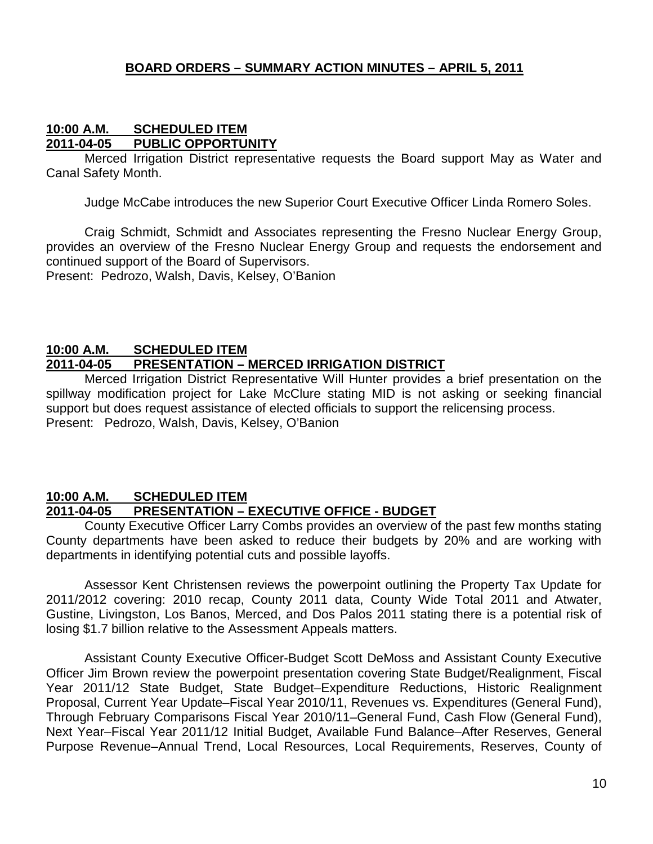#### **BOARD ORDERS – SUMMARY ACTION MINUTES – APRIL 5, 2011**

#### **10:00 A.M. SCHEDULED ITEM 2011-04-05 PUBLIC OPPORTUNITY**

Merced Irrigation District representative requests the Board support May as Water and Canal Safety Month.

Judge McCabe introduces the new Superior Court Executive Officer Linda Romero Soles.

Craig Schmidt, Schmidt and Associates representing the Fresno Nuclear Energy Group, provides an overview of the Fresno Nuclear Energy Group and requests the endorsement and continued support of the Board of Supervisors.

Present: Pedrozo, Walsh, Davis, Kelsey, O'Banion

#### **10:00 A.M. SCHEDULED ITEM 2011-04-05 PRESENTATION – MERCED IRRIGATION DISTRICT**

Merced Irrigation District Representative Will Hunter provides a brief presentation on the spillway modification project for Lake McClure stating MID is not asking or seeking financial support but does request assistance of elected officials to support the relicensing process. Present: Pedrozo, Walsh, Davis, Kelsey, O'Banion

#### **10:00 A.M. SCHEDULED ITEM 2011-04-05 PRESENTATION – EXECUTIVE OFFICE - BUDGET**

County Executive Officer Larry Combs provides an overview of the past few months stating County departments have been asked to reduce their budgets by 20% and are working with departments in identifying potential cuts and possible layoffs.

Assessor Kent Christensen reviews the powerpoint outlining the Property Tax Update for 2011/2012 covering: 2010 recap, County 2011 data, County Wide Total 2011 and Atwater, Gustine, Livingston, Los Banos, Merced, and Dos Palos 2011 stating there is a potential risk of losing \$1.7 billion relative to the Assessment Appeals matters.

Assistant County Executive Officer-Budget Scott DeMoss and Assistant County Executive Officer Jim Brown review the powerpoint presentation covering State Budget/Realignment, Fiscal Year 2011/12 State Budget, State Budget–Expenditure Reductions, Historic Realignment Proposal, Current Year Update–Fiscal Year 2010/11, Revenues vs. Expenditures (General Fund), Through February Comparisons Fiscal Year 2010/11–General Fund, Cash Flow (General Fund), Next Year–Fiscal Year 2011/12 Initial Budget, Available Fund Balance–After Reserves, General Purpose Revenue–Annual Trend, Local Resources, Local Requirements, Reserves, County of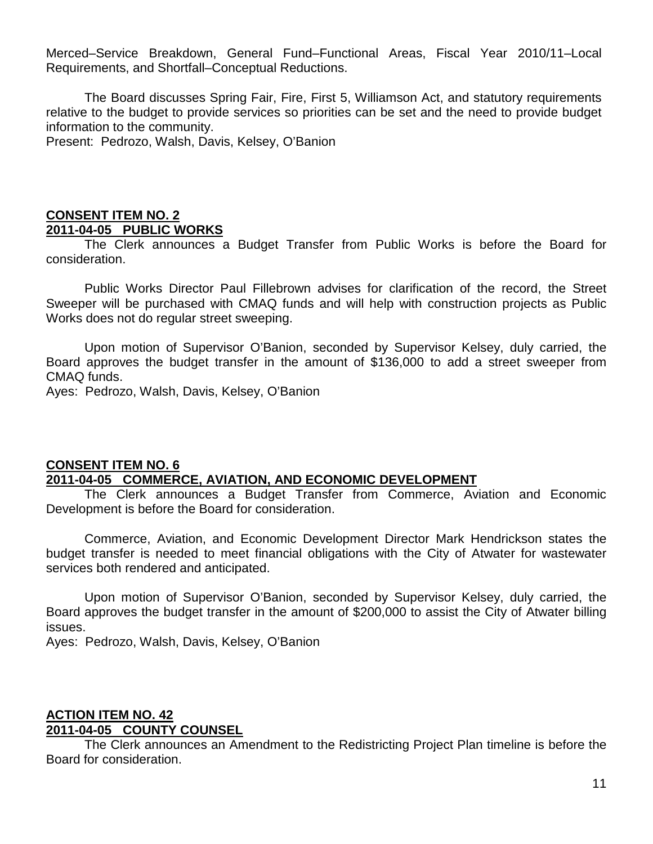Merced–Service Breakdown, General Fund–Functional Areas, Fiscal Year 2010/11–Local Requirements, and Shortfall–Conceptual Reductions.

The Board discusses Spring Fair, Fire, First 5, Williamson Act, and statutory requirements relative to the budget to provide services so priorities can be set and the need to provide budget information to the community.

Present: Pedrozo, Walsh, Davis, Kelsey, O'Banion

#### **CONSENT ITEM NO. 2 2011-04-05 PUBLIC WORKS**

The Clerk announces a Budget Transfer from Public Works is before the Board for consideration.

Public Works Director Paul Fillebrown advises for clarification of the record, the Street Sweeper will be purchased with CMAQ funds and will help with construction projects as Public Works does not do regular street sweeping.

Upon motion of Supervisor O'Banion, seconded by Supervisor Kelsey, duly carried, the Board approves the budget transfer in the amount of \$136,000 to add a street sweeper from CMAQ funds.

Ayes: Pedrozo, Walsh, Davis, Kelsey, O'Banion

#### **CONSENT ITEM NO. 6 2011-04-05 COMMERCE, AVIATION, AND ECONOMIC DEVELOPMENT**

The Clerk announces a Budget Transfer from Commerce, Aviation and Economic Development is before the Board for consideration.

Commerce, Aviation, and Economic Development Director Mark Hendrickson states the budget transfer is needed to meet financial obligations with the City of Atwater for wastewater services both rendered and anticipated.

Upon motion of Supervisor O'Banion, seconded by Supervisor Kelsey, duly carried, the Board approves the budget transfer in the amount of \$200,000 to assist the City of Atwater billing issues.

Ayes: Pedrozo, Walsh, Davis, Kelsey, O'Banion

#### **ACTION ITEM NO. 42 2011-04-05 COUNTY COUNSEL**

The Clerk announces an Amendment to the Redistricting Project Plan timeline is before the Board for consideration.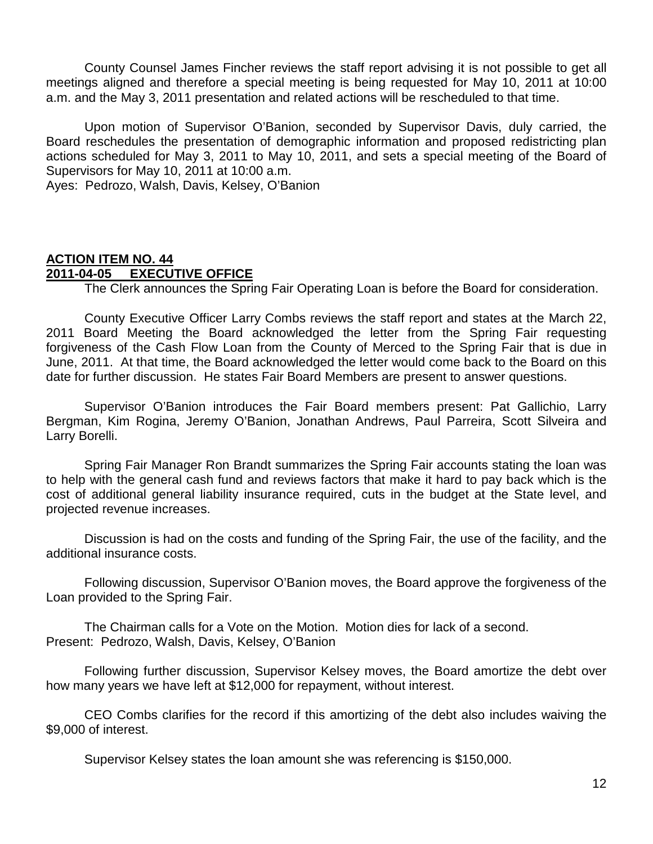County Counsel James Fincher reviews the staff report advising it is not possible to get all meetings aligned and therefore a special meeting is being requested for May 10, 2011 at 10:00 a.m. and the May 3, 2011 presentation and related actions will be rescheduled to that time.

Upon motion of Supervisor O'Banion, seconded by Supervisor Davis, duly carried, the Board reschedules the presentation of demographic information and proposed redistricting plan actions scheduled for May 3, 2011 to May 10, 2011, and sets a special meeting of the Board of Supervisors for May 10, 2011 at 10:00 a.m.

Ayes: Pedrozo, Walsh, Davis, Kelsey, O'Banion

# **ACTION ITEM NO. 44 2011-04-05 EXECUTIVE OFFICE**

The Clerk announces the Spring Fair Operating Loan is before the Board for consideration.

County Executive Officer Larry Combs reviews the staff report and states at the March 22, 2011 Board Meeting the Board acknowledged the letter from the Spring Fair requesting forgiveness of the Cash Flow Loan from the County of Merced to the Spring Fair that is due in June, 2011. At that time, the Board acknowledged the letter would come back to the Board on this date for further discussion. He states Fair Board Members are present to answer questions.

Supervisor O'Banion introduces the Fair Board members present: Pat Gallichio, Larry Bergman, Kim Rogina, Jeremy O'Banion, Jonathan Andrews, Paul Parreira, Scott Silveira and Larry Borelli.

Spring Fair Manager Ron Brandt summarizes the Spring Fair accounts stating the loan was to help with the general cash fund and reviews factors that make it hard to pay back which is the cost of additional general liability insurance required, cuts in the budget at the State level, and projected revenue increases.

Discussion is had on the costs and funding of the Spring Fair, the use of the facility, and the additional insurance costs.

Following discussion, Supervisor O'Banion moves, the Board approve the forgiveness of the Loan provided to the Spring Fair.

The Chairman calls for a Vote on the Motion. Motion dies for lack of a second. Present: Pedrozo, Walsh, Davis, Kelsey, O'Banion

Following further discussion, Supervisor Kelsey moves, the Board amortize the debt over how many years we have left at \$12,000 for repayment, without interest.

CEO Combs clarifies for the record if this amortizing of the debt also includes waiving the \$9,000 of interest.

Supervisor Kelsey states the loan amount she was referencing is \$150,000.